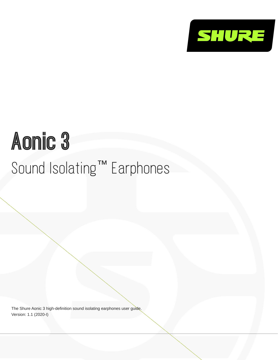

# Aonic 3 Sound Isolating™ Earphones

The Shure Aonic 3 high-definition sound isolating earphones user guide. Version: 1.1 (2020-I)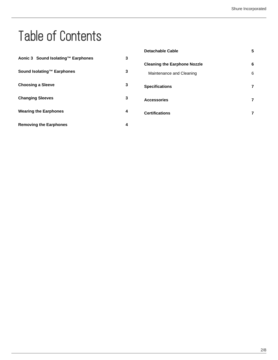# Table of Contents

| Aonic 3 Sound Isolating™ Earphones | 3 | <b>Detachable Cable</b>             | 5 |
|------------------------------------|---|-------------------------------------|---|
|                                    |   | <b>Cleaning the Earphone Nozzle</b> | 6 |
| Sound Isolating™ Earphones         | 3 | Maintenance and Cleaning            | 6 |
| <b>Choosing a Sleeve</b>           | 3 | <b>Specifications</b>               | 7 |
| <b>Changing Sleeves</b>            | 3 | <b>Accessories</b>                  | 7 |
| <b>Wearing the Earphones</b>       | 4 | <b>Certifications</b>               |   |
| <b>Removing the Earphones</b>      | 4 |                                     |   |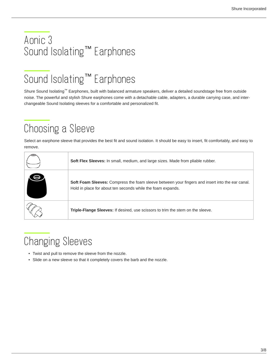### <span id="page-2-0"></span>Aonic 3 Sound Isolating<sup>™</sup> Earphones

## <span id="page-2-1"></span>Sound Isolating<sup>™</sup> Earphones

Shure Sound Isolating™ Earphones, built with balanced armature speakers, deliver a detailed soundstage free from outside noise. The powerful and stylish Shure earphones come with a detachable cable, adapters, a durable carrying case, and interchangeable Sound Isolating sleeves for a comfortable and personalized fit.

# <span id="page-2-2"></span>Choosing a Sleeve

Select an earphone sleeve that provides the best fit and sound isolation. It should be easy to insert, fit comfortably, and easy to remove.

| <b>Soft Flex Sleeves:</b> In small, medium, and large sizes. Made from pliable rubber.                                                                         |
|----------------------------------------------------------------------------------------------------------------------------------------------------------------|
| Soft Foam Sleeves: Compress the foam sleeve between your fingers and insert into the ear canal.<br>Hold in place for about ten seconds while the foam expands. |
| Triple-Flange Sleeves: If desired, use scissors to trim the stem on the sleeve.                                                                                |

# <span id="page-2-3"></span>Changing Sleeves

- Twist and pull to remove the sleeve from the nozzle.
- Slide on a new sleeve so that it completely covers the barb and the nozzle.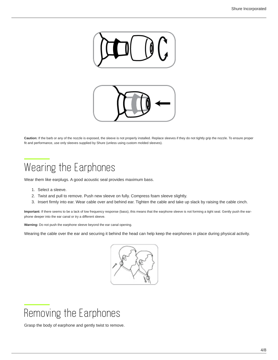

**Caution:** If the barb or any of the nozzle is exposed, the sleeve is not properly installed. Replace sleeves if they do not tightly grip the nozzle. To ensure proper fit and performance, use only sleeves supplied by Shure (unless using custom molded sleeves).

### <span id="page-3-0"></span>Wearing the Earphones

Wear them like earplugs. A good acoustic seal provides maximum bass.

- 1. Select a sleeve.
- 2. Twist and pull to remove. Push new sleeve on fully. Compress foam sleeve slightly.
- 3. Insert firmly into ear. Wear cable over and behind ear. Tighten the cable and take up slack by raising the cable cinch.

**Important:** If there seems to be a lack of low frequency response (bass), this means that the earphone sleeve is not forming a tight seal. Gently push the earphone deeper into the ear canal or try a different sleeve.

**Warning:** Do not push the earphone sleeve beyond the ear canal opening.

Wearing the cable over the ear and securing it behind the head can help keep the earphones in place during physical activity.



<span id="page-3-1"></span>

Grasp the body of earphone and gently twist to remove.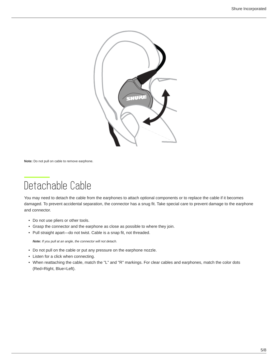

**Note:** Do not pull on cable to remove earphone.

### <span id="page-4-0"></span>Detachable Cable

You may need to detach the cable from the earphones to attach optional components or to replace the cable if it becomes damaged. To prevent accidental separation, the connector has a snug fit. Take special care to prevent damage to the earphone and connector.

- Do not use pliers or other tools.
- Grasp the connector and the earphone as close as possible to where they join.
- Pull straight apart—do not twist. Cable is a snap fit, not threaded.

*Note: If you pull at an angle, the connector will not detach.*

- Do not pull on the cable or put any pressure on the earphone nozzle.
- Listen for a click when connecting.
- When reattaching the cable, match the "L" and "R" markings. For clear cables and earphones, match the color dots (Red=Right, Blue=Left).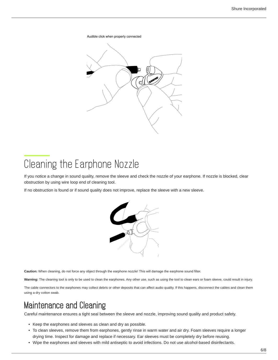Audible click when properly connected



### <span id="page-5-0"></span>Cleaning the Earphone Nozzle

If you notice a change in sound quality, remove the sleeve and check the nozzle of your earphone. If nozzle is blocked, clear obstruction by using wire loop end of cleaning tool.

If no obstruction is found or if sound quality does not improve, replace the sleeve with a new sleeve.



**Caution:** When cleaning, do not force any object through the earphone nozzle! This will damage the earphone sound filter.

Warning: The cleaning tool is only to be used to clean the earphones. Any other use, such as using the tool to clean ears or foam sleeve, could result in injury.

The cable connectors to the earphones may collect debris or other deposits that can affect audio quality. If this happens, disconnect the cables and clean them using a dry cotton swab.

### <span id="page-5-1"></span>Maintenance and Cleaning

Careful maintenance ensures a tight seal between the sleeve and nozzle, improving sound quality and product safety.

- Keep the earphones and sleeves as clean and dry as possible.
- To clean sleeves, remove them from earphones, gently rinse in warm water and air dry. Foam sleeves require a longer drying time. Inspect for damage and replace if necessary. Ear sleeves must be completely dry before reusing.
- Wipe the earphones and sleeves with mild antiseptic to avoid infections. Do not use alcohol-based disinfectants.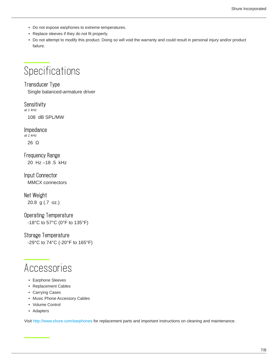- Do not expose earphones to extreme temperatures.
- Replace sleeves if they do not fit properly.
- Do not attempt to modify this product. Doing so will void the warranty and could result in personal injury and/or product failure.

### <span id="page-6-0"></span>**Specifications**

### Transducer Type

Single balanced-armature driver

**Sensitivity** *at 1 kHz*

108 dB SPL/MW

Impedance *at 1 kHz*

26 Ω

Frequency Range 20 Hz –18 .5 kHz

Input Connector MMCX connectors

#### Net Weight

20.8 g (.7 oz.)

#### Operating Temperature

-18°C to 57°C (0°F to 135°F)

#### Storage Temperature

-29°C to 74°C (-20°F to 165°F)

### <span id="page-6-1"></span>Accessories

- Earphone Sleeves
- Replacement Cables
- Carrying Cases
- Music Phone Accessory Cables
- Volume Control
- Adapters

<span id="page-6-2"></span>Visit <http://www.shure.com/earphones>for replacement parts and important instructions on cleaning and maintenance.